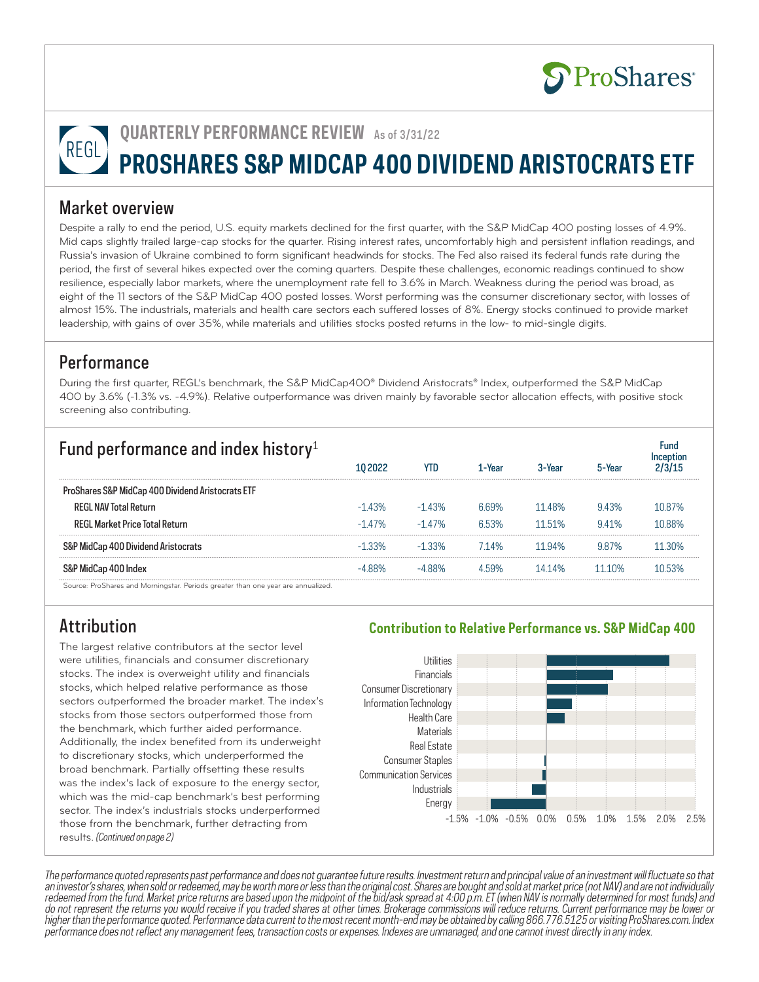

# **QUARTERLY PERFORMANCE REVIEW** As of 3/31/22 REGL **PROSHARES S&P MIDCAP 400 DIVIDEND ARISTOCRATS ETF**

#### Market overview

Despite a rally to end the period, U.S. equity markets declined for the first quarter, with the S&P MidCap 400 posting losses of 4.9%. Mid caps slightly trailed large-cap stocks for the quarter. Rising interest rates, uncomfortably high and persistent inflation readings, and Russia's invasion of Ukraine combined to form significant headwinds for stocks. The Fed also raised its federal funds rate during the period, the first of several hikes expected over the coming quarters. Despite these challenges, economic readings continued to show resilience, especially labor markets, where the unemployment rate fell to 3.6% in March. Weakness during the period was broad, as eight of the 11 sectors of the S&P MidCap 400 posted losses. Worst performing was the consumer discretionary sector, with losses of almost 15%. The industrials, materials and health care sectors each suffered losses of 8%. Energy stocks continued to provide market leadership, with gains of over 35%, while materials and utilities stocks posted returns in the low- to mid-single digits.

#### **Performance**

During the first quarter, REGL's benchmark, the S&P MidCap400® Dividend Aristocrats® Index, outperformed the S&P MidCap 400 by 3.6% (-1.3% vs. -4.9%). Relative outperformance was driven mainly by favorable sector allocation effects, with positive stock screening also contributing.

| Fund performance and index history <sup>1</sup>   |           |         |        |        |        |        |  |
|---------------------------------------------------|-----------|---------|--------|--------|--------|--------|--|
|                                                   | 10 2022   | ytd     | 1-Year | 3-Year | 5-Year |        |  |
| ProShares S&P MidCap 400 Dividend Aristocrats ETF |           |         |        |        |        |        |  |
| <b>REGI NAV Total Return</b>                      | $-14.3\%$ | -1 43%  | 669%   | 11 48% | 943%   | 1087%  |  |
| <b>REGI Market Price Total Return</b>             | $-147%$   | $-147%$ | 653%   | 1151%  | 941%   | 1088%  |  |
| S&P MidCap 400 Dividend Aristocrats               | $-1.33\%$ | -1.33%  | 714%   | 11 94% | 987%   | 11.30% |  |
| S&P MidCap 400 Index                              | 88%       | -488%   | 4.59%  | 1414%  | 1110%  | 10.53% |  |

Source: ProShares and Morningstar. Periods greater than one year are annualized.

## Attribution

The largest relative contributors at the sector level were utilities, financials and consumer discretionary stocks. The index is overweight utility and financials stocks, which helped relative performance as those sectors outperformed the broader market. The index's stocks from those sectors outperformed those from the benchmark, which further aided performance. Additionally, the index benefited from its underweight to discretionary stocks, which underperformed the broad benchmark. Partially offsetting these results was the index's lack of exposure to the energy sector, which was the mid-cap benchmark's best performing sector. The index's industrials stocks underperformed those from the benchmark, further detracting from results. (Continued on page 2)

#### **Contribution to Relative Performance vs. S&P MidCap 400**



The performance quoted represents past performance and does not guarantee future results. Investment return and principal value of an investment will fluctuate so that an investor's shares, when sold or redeemed, may be worth more or less than the original cost. Shares are bought and sold at market price (not NAV) and are not individually redeemed from the fund. Market price returns are based upon the midpoint of the bid/ask spread at 4:00 p.m. ET (when NAV is normally determined for most funds) and do not represent the returns you would receive if you traded shares at other times. Brokerage commissions will reduce returns. Current performance may be lower or higher than the performance quoted. Performance data current to the most recent month-end may be obtained by calling 866.776.5125 or visiting ProShares.com. Index performance does not reflect any management fees, transaction costs or expenses. Indexes are unmanaged, and one cannot invest directly in any index.